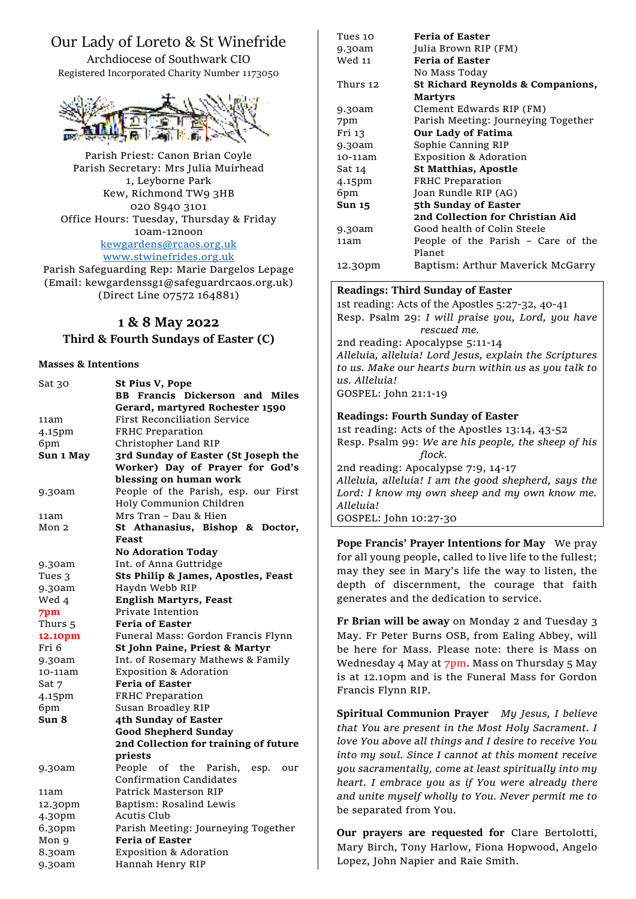# Our Lady of Loreto & St Winefride

Archdiocese of Southwark CIO Registered Incorporated Charity Number 1173050



Parish Priest: Canon Brian Coyle Parish Secretary: Mrs Julia Muirhead 1, Leyborne Park Kew, Richmond TW9 3HB 020 8940 3101 Office Hours: Tuesday, Thursday & Friday 10am-12noon [kewgardens@rcaos.org.uk](mailto:kewgardens@rcaos.org.uk) [www.stwinefrides.org.uk](http://www.stwinefrides.org.uk/)

Parish Safeguarding Rep: Marie Dargelos Lepage (Email: kewgardenssg1@safeguardrcaos.org.uk) (Direct Line 07572 164881)

## **1 & 8 May 2022**

## **Third & Fourth Sundays of Easter (C)**

#### **Masses & Intentions**

| Sat 30    | St Pius V, Pope                       |
|-----------|---------------------------------------|
|           | <b>BB Francis Dickerson and Miles</b> |
|           | Gerard, martyred Rochester 1590       |
| 11am      | <b>First Reconciliation Service</b>   |
| 4.15pm    | FRHC Preparation                      |
| 6pm       | Christopher Land RIP                  |
| Sun 1 May | 3rd Sunday of Easter (St Joseph the   |
|           | Worker) Day of Prayer for God's       |
|           | blessing on human work                |
| 9.30am    | People of the Parish, esp. our First  |
|           | Holy Communion Children               |
| 11am      | Mrs Tran - Dau & Hien                 |
| Mon 2     | St Athanasius, Bishop & Doctor,       |
|           | Feast                                 |
|           | <b>No Adoration Today</b>             |
| 9.30am    | Int. of Anna Guttridge                |
| Tues 3    | Sts Philip & James, Apostles, Feast   |
| 9.30am    | Haydn Webb RIP                        |
| Wed 4     | <b>English Martyrs, Feast</b>         |
| 7pm       | Private Intention                     |
| Thurs 5   | <b>Feria of Easter</b>                |
| 12.10pm   | Funeral Mass: Gordon Francis Flynn    |
| Fri 6     | St John Paine, Priest & Martyr        |
| 9.30am    | Int. of Rosemary Mathews & Family     |
| 10-11am   | <b>Exposition &amp; Adoration</b>     |
| Sat 7     | <b>Feria of Easter</b>                |
| 4.15pm    | FRHC Preparation                      |
| 6pm       | Susan Broadley RIP                    |
| Sun 8     | 4th Sunday of Easter                  |
|           | <b>Good Shepherd Sunday</b>           |
|           | 2nd Collection for training of future |
|           | priests                               |
| 9.30am    | People of the Parish,<br>esp.<br>our  |
|           | Confirmation Candidates               |
| 11am      | Patrick Masterson RIP                 |
| 12.30pm   | Baptism: Rosalind Lewis               |
| 4.30pm    | Acutis Club                           |
| 6.30pm    | Parish Meeting: Journeying Together   |
| Mon 9     | <b>Feria of Easter</b>                |
| 8.30am    | <b>Exposition &amp; Adoration</b>     |
| 9.30am    | Hannah Henry RIP                      |

| Tues 10  | <b>Feria of Easter</b>              |
|----------|-------------------------------------|
| 9.30am   | Julia Brown RIP (FM)                |
| Wed 11   | <b>Feria of Easter</b>              |
|          | No Mass Today                       |
| Thurs 12 | St Richard Reynolds & Companions,   |
|          | <b>Martyrs</b>                      |
| 9.30am   | Clement Edwards RIP (FM)            |
| 7pm      | Parish Meeting: Journeying Together |
| Fri 13   | Our Lady of Fatima                  |
| 9.30am   | Sophie Canning RIP                  |
| 10-11am  | <b>Exposition &amp; Adoration</b>   |
| Sat 14   | <b>St Matthias, Apostle</b>         |
| 4.15pm   | <b>FRHC</b> Preparation             |
| 6pm      | Joan Rundle RIP (AG)                |
| Sun 15   | 5th Sunday of Easter                |
|          | 2nd Collection for Christian Aid    |
| 9.30am   | Good health of Colin Steele         |
| 11am     | People of the Parish – Care of the  |
|          | Planet                              |
| 12.30pm  | Baptism: Arthur Maverick McGarry    |
|          |                                     |

#### **Readings: Third Sunday of Easter**

1st reading: Acts of the Apostles 5:27-32, 40-41 Resp. Psalm 29: *I will praise you, Lord, you have rescued me.* 2nd reading: Apocalypse 5:11-14 *Alleluia, alleluia! Lord Jesus, explain the Scriptures to us. Make our hearts burn within us as you talk to us. Alleluia!* GOSPEL: John 21:1-19

#### **Readings: Fourth Sunday of Easter**

1st reading: Acts of the Apostles 13:14, 43-52 Resp. Psalm 99: *We are his people, the sheep of his flock.* 2nd reading: Apocalypse 7:9, 14-17 *Alleluia, alleluia! I am the good shepherd, says the Lord: I know my own sheep and my own know me. Alleluia!* GOSPEL: John 10:27-30

**Pope Francis' Prayer Intentions for May** We pray for all young people, called to live life to the fullest; may they see in Mary's life the way to listen, the depth of discernment, the courage that faith generates and the dedication to service.

**Fr Brian will be away** on Monday 2 and Tuesday 3 May. Fr Peter Burns OSB, from Ealing Abbey, will be here for Mass. Please note: there is Mass on Wednesday 4 May at 7pm. Mass on Thursday 5 May is at 12.10pm and is the Funeral Mass for Gordon Francis Flynn RIP.

**Spiritual Communion Prayer** *My Jesus, I believe that You are present in the Most Holy Sacrament. I love You above all things and I desire to receive You into my soul. Since I cannot at this moment receive you sacramentally, come at least spiritually into my heart. I embrace you as if You were already there and unite myself wholly to You. Never permit me to*  be separated from You.

**Our prayers are requested for** Clare Bertolotti, Mary Birch, Tony Harlow, Fiona Hopwood, Angelo Lopez, John Napier and Raie Smith.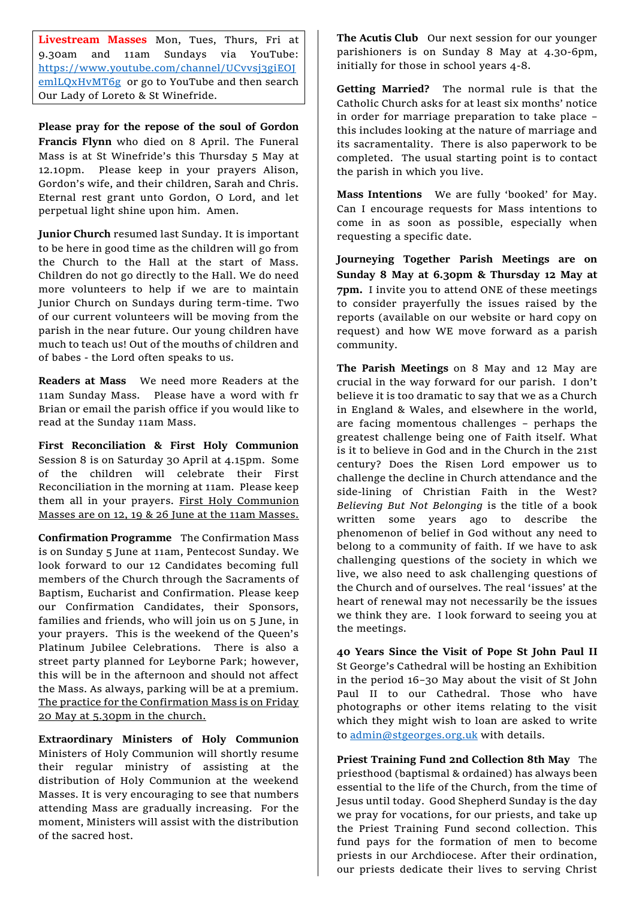**Livestream Masses** Mon, Tues, Thurs, Fri at 9.30am and 11am Sundays via YouTube: [https://www.youtube.com/channel/UCvvsj3giEOJ](https://www.youtube.com/channel/UCvvsj3giEOJemlLQxHvMT6g) [emlLQxHvMT6g](https://www.youtube.com/channel/UCvvsj3giEOJemlLQxHvMT6g) or go to YouTube and then search Our Lady of Loreto & St Winefride.

**Please pray for the repose of the soul of Gordon Francis Flynn** who died on 8 April. The Funeral Mass is at St Winefride's this Thursday 5 May at 12.10pm. Please keep in your prayers Alison, Gordon's wife, and their children, Sarah and Chris. Eternal rest grant unto Gordon, O Lord, and let perpetual light shine upon him. Amen.

**Junior Church** resumed last Sunday. It is important to be here in good time as the children will go from the Church to the Hall at the start of Mass. Children do not go directly to the Hall. We do need more volunteers to help if we are to maintain Junior Church on Sundays during term-time. Two of our current volunteers will be moving from the parish in the near future. Our young children have much to teach us! Out of the mouths of children and of babes - the Lord often speaks to us.

**Readers at Mass** We need more Readers at the 11am Sunday Mass. Please have a word with fr Brian or email the parish office if you would like to read at the Sunday 11am Mass.

**First Reconciliation & First Holy Communion**  Session 8 is on Saturday 30 April at 4.15pm. Some of the children will celebrate their First Reconciliation in the morning at 11am. Please keep them all in your prayers. First Holy Communion Masses are on 12, 19 & 26 June at the 11am Masses.

**Confirmation Programme** The Confirmation Mass is on Sunday 5 June at 11am, Pentecost Sunday. We look forward to our 12 Candidates becoming full members of the Church through the Sacraments of Baptism, Eucharist and Confirmation. Please keep our Confirmation Candidates, their Sponsors, families and friends, who will join us on 5 June, in your prayers. This is the weekend of the Queen's Platinum Jubilee Celebrations. There is also a street party planned for Leyborne Park; however, this will be in the afternoon and should not affect the Mass. As always, parking will be at a premium. The practice for the Confirmation Mass is on Friday 20 May at 5.30pm in the church.

**Extraordinary Ministers of Holy Communion** Ministers of Holy Communion will shortly resume their regular ministry of assisting at the distribution of Holy Communion at the weekend Masses. It is very encouraging to see that numbers attending Mass are gradually increasing. For the moment, Ministers will assist with the distribution of the sacred host.

The Acutis Club Our next session for our younger parishioners is on Sunday 8 May at 4.30-6pm, initially for those in school years 4-8.

**Getting Married?** The normal rule is that the Catholic Church asks for at least six months' notice in order for marriage preparation to take place – this includes looking at the nature of marriage and its sacramentality. There is also paperwork to be completed. The usual starting point is to contact the parish in which you live.

**Mass Intentions** We are fully 'booked' for May. Can I encourage requests for Mass intentions to come in as soon as possible, especially when requesting a specific date.

**Journeying Together Parish Meetings are on Sunday 8 May at 6.30pm & Thursday 12 May at 7pm.** I invite you to attend ONE of these meetings to consider prayerfully the issues raised by the reports (available on our website or hard copy on request) and how WE move forward as a parish community.

**The Parish Meetings** on 8 May and 12 May are crucial in the way forward for our parish. I don't believe it is too dramatic to say that we as a Church in England & Wales, and elsewhere in the world, are facing momentous challenges – perhaps the greatest challenge being one of Faith itself. What is it to believe in God and in the Church in the 21st century? Does the Risen Lord empower us to challenge the decline in Church attendance and the side-lining of Christian Faith in the West? *Believing But Not Belonging* is the title of a book written some years ago to describe the phenomenon of belief in God without any need to belong to a community of faith. If we have to ask challenging questions of the society in which we live, we also need to ask challenging questions of the Church and of ourselves. The real 'issues' at the heart of renewal may not necessarily be the issues we think they are. I look forward to seeing you at the meetings.

**40 Years Since the Visit of Pope St John Paul II**  St George's Cathedral will be hosting an Exhibition in the period 16–30 May about the visit of St John Paul II to our Cathedral. Those who have photographs or other items relating to the visit which they might wish to loan are asked to write to [admin@stgeorges.org.uk](mailto:admin@stgeorges.org.uk) with details.

**Priest Training Fund 2nd Collection 8th May** The priesthood (baptismal & ordained) has always been essential to the life of the Church, from the time of Jesus until today. Good Shepherd Sunday is the day we pray for vocations, for our priests, and take up the Priest Training Fund second collection. This fund pays for the formation of men to become priests in our Archdiocese. After their ordination, our priests dedicate their lives to serving Christ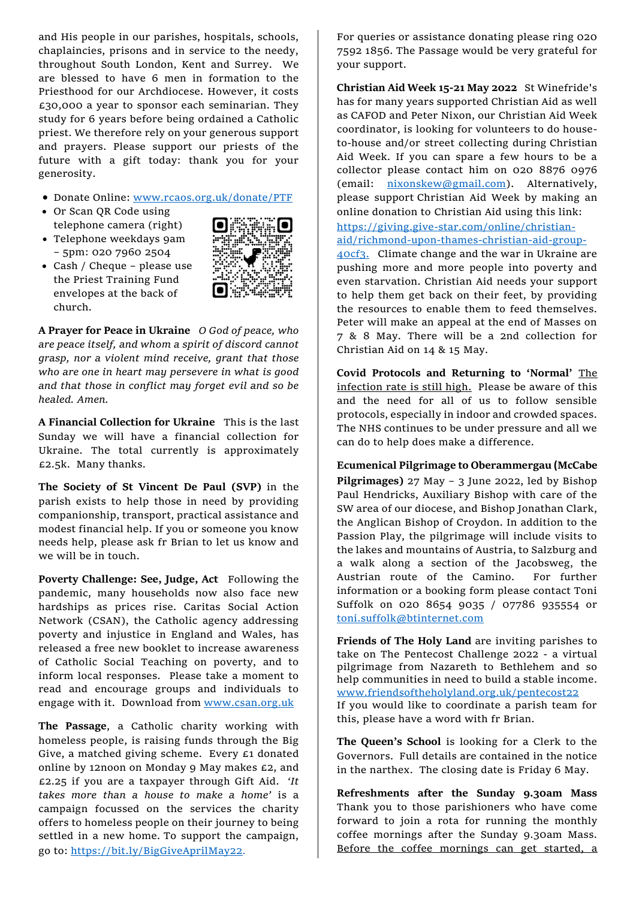and His people in our parishes, hospitals, schools, chaplaincies, prisons and in service to the needy, throughout South London, Kent and Surrey. We are blessed to have 6 men in formation to the Priesthood for our Archdiocese. However, it costs £30,000 a year to sponsor each seminarian. They study for 6 years before being ordained a Catholic priest. We therefore rely on your generous support and prayers. Please support our priests of the future with a gift today: thank you for your generosity.

- Donate Online: [www.rcaos.org.uk/donate/PTF](http://www.rcaos.org.uk/donate/PTF)
- Or Scan QR Code using telephone camera (right)
- Telephone weekdays 9am – 5pm: 020 7960 2504
- Cash / Cheque please use the Priest Training Fund envelopes at the back of church.



**A Prayer for Peace in Ukraine** *O God of peace, who are peace itself, and whom a spirit of discord cannot grasp, nor a violent mind receive, grant that those who are one in heart may persevere in what is good and that those in conflict may forget evil and so be healed. Amen.* 

**A Financial Collection for Ukraine** This is the last Sunday we will have a financial collection for Ukraine. The total currently is approximately £2.5k. Many thanks.

**The Society of St Vincent De Paul (SVP)** in the parish exists to help those in need by providing companionship, transport, practical assistance and modest financial help. If you or someone you know needs help, please ask fr Brian to let us know and we will be in touch.

**Poverty Challenge: See, Judge, Act** Following the pandemic, many households now also face new hardships as prices rise. Caritas Social Action Network (CSAN), the Catholic agency addressing poverty and injustice in England and Wales, has released a free new booklet to increase awareness of Catholic Social Teaching on poverty, and to inform local responses. Please take a moment to read and encourage groups and individuals to engage with it. Download from [www.csan.org.uk](http://www.csan.org.uk/)

**The Passage**, a Catholic charity working with homeless people, is raising funds through the Big Give, a matched giving scheme. Every £1 donated online by 12noon on Monday 9 May makes £2, and £2.25 if you are a taxpayer through Gift Aid. *'It takes more than a house to make a home'* is a campaign focussed on the services the charity offers to homeless people on their journey to being settled in a new home. To support the campaign, go to: <https://bit.ly/BigGiveAprilMay22>.

For queries or assistance donating please ring 020 7592 1856. The Passage would be very grateful for your support.

**Christian Aid Week 15-21 May 2022** St Winefride's has for many years supported Christian Aid as well as CAFOD and Peter Nixon, our Christian Aid Week coordinator, is looking for volunteers to do houseto-house and/or street collecting during Christian Aid Week. If you can spare a few hours to be a collector please contact him on 020 8876 0976 (email: [nixonskew@gmail.com\)](mailto:nixonskew@gmail.com). Alternatively, please support Christian Aid Week by making an online donation to Christian Aid using this link: [https://giving.give-star.com/online/christian-](https://giving.give-star.com/online/christian-aid/richmond-upon-thames-christian-aid-group-40cf3)

[aid/richmond-upon-thames-christian-aid-group-](https://giving.give-star.com/online/christian-aid/richmond-upon-thames-christian-aid-group-40cf3)

[40cf3.](https://giving.give-star.com/online/christian-aid/richmond-upon-thames-christian-aid-group-40cf3) Climate change and the war in Ukraine are pushing more and more people into poverty and even starvation. Christian Aid needs your support to help them get back on their feet, by providing the resources to enable them to feed themselves. Peter will make an appeal at the end of Masses on 7 & 8 May. There will be a 2nd collection for Christian Aid on 14 & 15 May.

**Covid Protocols and Returning to 'Normal'** The infection rate is still high. Please be aware of this and the need for all of us to follow sensible protocols, especially in indoor and crowded spaces. The NHS continues to be under pressure and all we can do to help does make a difference.

**Ecumenical Pilgrimage to Oberammergau (McCabe Pilgrimages)** 27 May – 3 June 2022, led by Bishop Paul Hendricks, Auxiliary Bishop with care of the SW area of our diocese, and Bishop Jonathan Clark, the Anglican Bishop of Croydon. In addition to the Passion Play, the pilgrimage will include visits to the lakes and mountains of Austria, to Salzburg and a walk along a section of the Jacobsweg, the Austrian route of the Camino. For further information or a booking form please contact Toni Suffolk on 020 8654 9035 / 07786 935554 or [toni.suffolk@btinternet.com](mailto:toni.suffolk@btinternet.com)

**Friends of The Holy Land** are inviting parishes to take on The Pentecost Challenge 2022 - a virtual pilgrimage from Nazareth to Bethlehem and so help communities in need to build a stable income. [www.friendsoftheholyland.org.uk/pentecost22](http://www.friendsoftheholyland.org.uk/pentecost22) If you would like to coordinate a parish team for this, please have a word with fr Brian.

**The Queen's School** is looking for a Clerk to the Governors. Full details are contained in the notice in the narthex. The closing date is Friday 6 May.

**Refreshments after the Sunday 9.30am Mass**  Thank you to those parishioners who have come forward to join a rota for running the monthly coffee mornings after the Sunday 9.30am Mass. Before the coffee mornings can get started, a